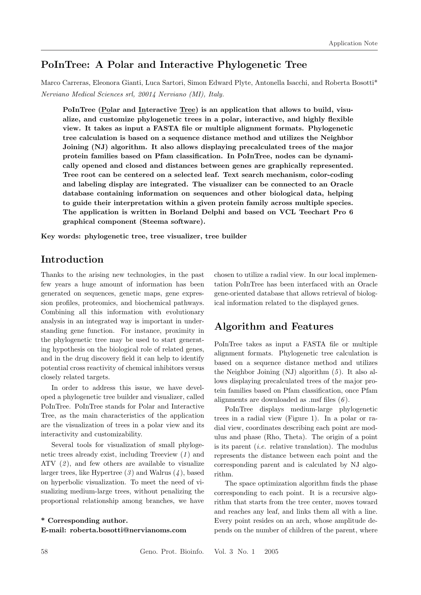# PoInTree: A Polar and Interactive Phylogenetic Tree

Marco Carreras, Eleonora Gianti, Luca Sartori, Simon Edward Plyte, Antonella Isacchi, and Roberta Bosotti\* Nerviano Medical Sciences srl, 20014 Nerviano (MI), Italy.

PoInTree (Polar and Interactive Tree) is an application that allows to build, visualize, and customize phylogenetic trees in a polar, interactive, and highly flexible view. It takes as input a FASTA file or multiple alignment formats. Phylogenetic tree calculation is based on a sequence distance method and utilizes the Neighbor Joining (NJ) algorithm. It also allows displaying precalculated trees of the major protein families based on Pfam classification. In PoInTree, nodes can be dynamically opened and closed and distances between genes are graphically represented. Tree root can be centered on a selected leaf. Text search mechanism, color-coding and labeling display are integrated. The visualizer can be connected to an Oracle database containing information on sequences and other biological data, helping to guide their interpretation within a given protein family across multiple species. The application is written in Borland Delphi and based on VCL Teechart Pro 6 graphical component (Steema software).

Key words: phylogenetic tree, tree visualizer, tree builder

# Introduction

Thanks to the arising new technologies, in the past few years a huge amount of information has been generated on sequences, genetic maps, gene expression profiles, proteomics, and biochemical pathways. Combining all this information with evolutionary analysis in an integrated way is important in understanding gene function. For instance, proximity in the phylogenetic tree may be used to start generating hypothesis on the biological role of related genes, and in the drug discovery field it can help to identify potential cross reactivity of chemical inhibitors versus closely related targets.

In order to address this issue, we have developed a phylogenetic tree builder and visualizer, called PoInTree. PoInTree stands for Polar and Interactive Tree, as the main characteristics of the application are the visualization of trees in a polar view and its interactivity and customizability.

Several tools for visualization of small phylogenetic trees already exist, including Treeview  $(1)$  and ATV  $(2)$ , and few others are available to visualize larger trees, like Hypertree  $(3)$  and Walrus  $(4)$ , based on hyperbolic visualization. To meet the need of visualizing medium-large trees, without penalizing the proportional relationship among branches, we have

### \* Corresponding author. E-mail: roberta.bosotti@nervianoms.com

chosen to utilize a radial view. In our local implementation PoInTree has been interfaced with an Oracle gene-oriented database that allows retrieval of biological information related to the displayed genes.

# Algorithm and Features

PoInTree takes as input a FASTA file or multiple alignment formats. Phylogenetic tree calculation is based on a sequence distance method and utilizes the Neighbor Joining  $(NJ)$  algorithm  $(5)$ . It also allows displaying precalculated trees of the major protein families based on Pfam classification, once Pfam alignments are downloaded as .msf files  $(6)$ .

PoInTree displays medium-large phylogenetic trees in a radial view (Figure 1). In a polar or radial view, coordinates describing each point are modulus and phase (Rho, Theta). The origin of a point is its parent *(i.e.* relative translation). The modulus represents the distance between each point and the corresponding parent and is calculated by NJ algorithm.

The space optimization algorithm finds the phase corresponding to each point. It is a recursive algorithm that starts from the tree center, moves toward and reaches any leaf, and links them all with a line. Every point resides on an arch, whose amplitude depends on the number of children of the parent, where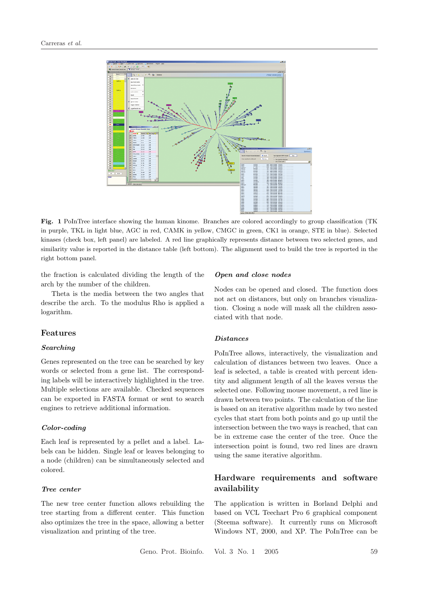

Fig. 1 PoInTree interface showing the human kinome. Branches are colored accordingly to group classification (TK in purple, TKL in light blue, AGC in red, CAMK in yellow, CMGC in green, CK1 in orange, STE in blue). Selected kinases (check box, left panel) are labeled. A red line graphically represents distance between two selected genes, and similarity value is reported in the distance table (left bottom). The alignment used to build the tree is reported in the right bottom panel.

the fraction is calculated dividing the length of the arch by the number of the children.

Theta is the media between the two angles that describe the arch. To the modulus Rho is applied a logarithm.

#### Features

#### Searching

Genes represented on the tree can be searched by key words or selected from a gene list. The corresponding labels will be interactively highlighted in the tree. Multiple selections are available. Checked sequences can be exported in FASTA format or sent to search engines to retrieve additional information.

#### Color-coding

Each leaf is represented by a pellet and a label. Labels can be hidden. Single leaf or leaves belonging to a node (children) can be simultaneously selected and colored.

#### Tree center

The new tree center function allows rebuilding the tree starting from a different center. This function also optimizes the tree in the space, allowing a better visualization and printing of the tree.

#### Open and close nodes

Nodes can be opened and closed. The function does not act on distances, but only on branches visualization. Closing a node will mask all the children associated with that node.

#### Distances

PoInTree allows, interactively, the visualization and calculation of distances between two leaves. Once a leaf is selected, a table is created with percent identity and alignment length of all the leaves versus the selected one. Following mouse movement, a red line is drawn between two points. The calculation of the line is based on an iterative algorithm made by two nested cycles that start from both points and go up until the intersection between the two ways is reached, that can be in extreme case the center of the tree. Once the intersection point is found, two red lines are drawn using the same iterative algorithm.

### Hardware requirements and software availability

The application is written in Borland Delphi and based on VCL Teechart Pro 6 graphical component (Steema software). It currently runs on Microsoft Windows NT, 2000, and XP. The PoInTree can be

Geno. Prot. Bioinfo. Vol. 3 No. 1 2005 59